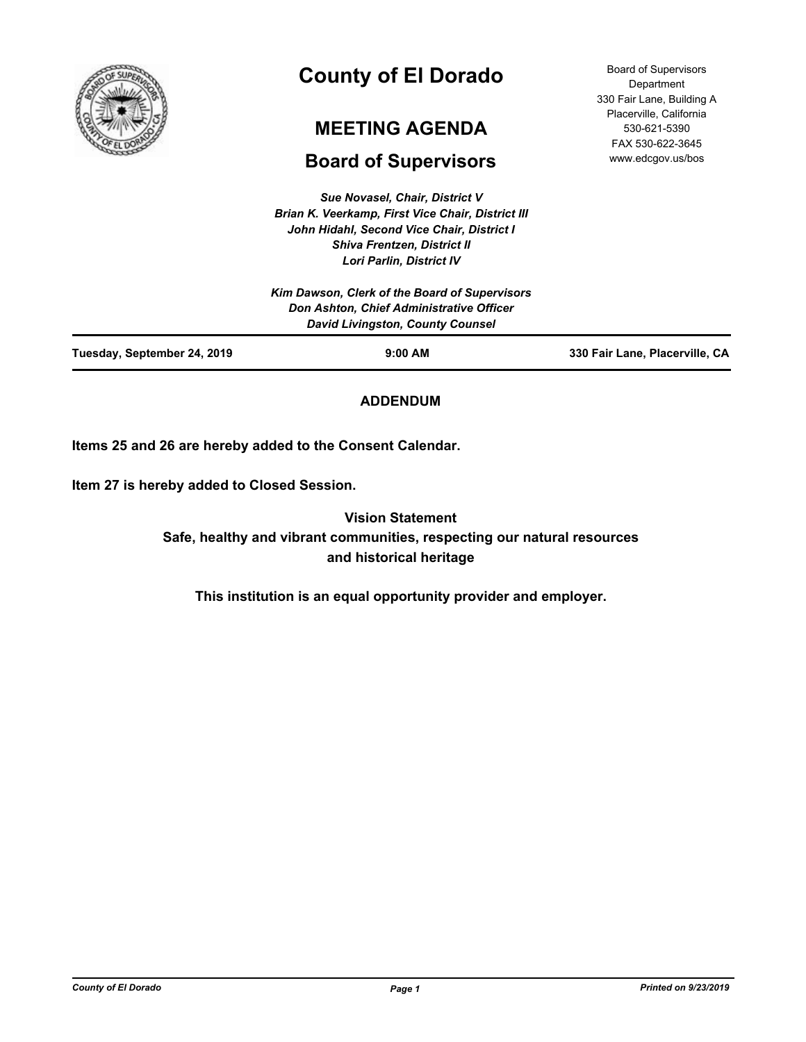

# **County of El Dorado**

## **MEETING AGENDA**

## **Board of Supervisors**

*Sue Novasel, Chair, District V Brian K. Veerkamp, First Vice Chair, District III John Hidahl, Second Vice Chair, District I Shiva Frentzen, District II Lori Parlin, District IV*

| <b>Board of Supervisors</b> |
|-----------------------------|
| Department                  |
| 330 Fair Lane, Building A   |
| Placerville, California     |
| 530-621-5390                |
| FAX 530-622-3645            |
| www.edcgov.us/bos           |

| Tuesday, September 24, 2019 | $9:00$ AM                                                                           | 330 Fair Lane, Placerville, CA |
|-----------------------------|-------------------------------------------------------------------------------------|--------------------------------|
|                             | Don Ashton, Chief Administrative Officer<br><b>David Livingston, County Counsel</b> |                                |
|                             | Kim Dawson, Clerk of the Board of Supervisors                                       |                                |
|                             |                                                                                     |                                |

## **ADDENDUM**

**Items 25 and 26 are hereby added to the Consent Calendar.**

**Item 27 is hereby added to Closed Session.**

**Vision Statement Safe, healthy and vibrant communities, respecting our natural resources and historical heritage**

**This institution is an equal opportunity provider and employer.**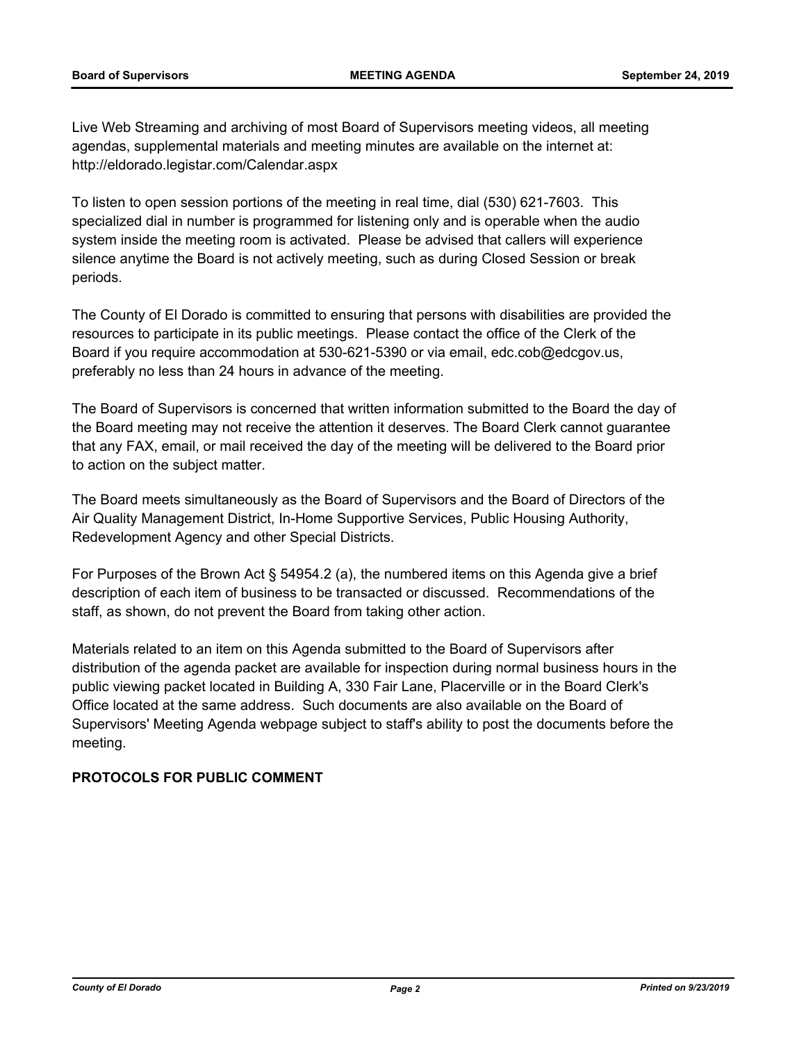Live Web Streaming and archiving of most Board of Supervisors meeting videos, all meeting agendas, supplemental materials and meeting minutes are available on the internet at: http://eldorado.legistar.com/Calendar.aspx

To listen to open session portions of the meeting in real time, dial (530) 621-7603. This specialized dial in number is programmed for listening only and is operable when the audio system inside the meeting room is activated. Please be advised that callers will experience silence anytime the Board is not actively meeting, such as during Closed Session or break periods.

The County of El Dorado is committed to ensuring that persons with disabilities are provided the resources to participate in its public meetings. Please contact the office of the Clerk of the Board if you require accommodation at 530-621-5390 or via email, edc.cob@edcgov.us, preferably no less than 24 hours in advance of the meeting.

The Board of Supervisors is concerned that written information submitted to the Board the day of the Board meeting may not receive the attention it deserves. The Board Clerk cannot guarantee that any FAX, email, or mail received the day of the meeting will be delivered to the Board prior to action on the subject matter.

The Board meets simultaneously as the Board of Supervisors and the Board of Directors of the Air Quality Management District, In-Home Supportive Services, Public Housing Authority, Redevelopment Agency and other Special Districts.

For Purposes of the Brown Act § 54954.2 (a), the numbered items on this Agenda give a brief description of each item of business to be transacted or discussed. Recommendations of the staff, as shown, do not prevent the Board from taking other action.

Materials related to an item on this Agenda submitted to the Board of Supervisors after distribution of the agenda packet are available for inspection during normal business hours in the public viewing packet located in Building A, 330 Fair Lane, Placerville or in the Board Clerk's Office located at the same address. Such documents are also available on the Board of Supervisors' Meeting Agenda webpage subject to staff's ability to post the documents before the meeting.

## **PROTOCOLS FOR PUBLIC COMMENT**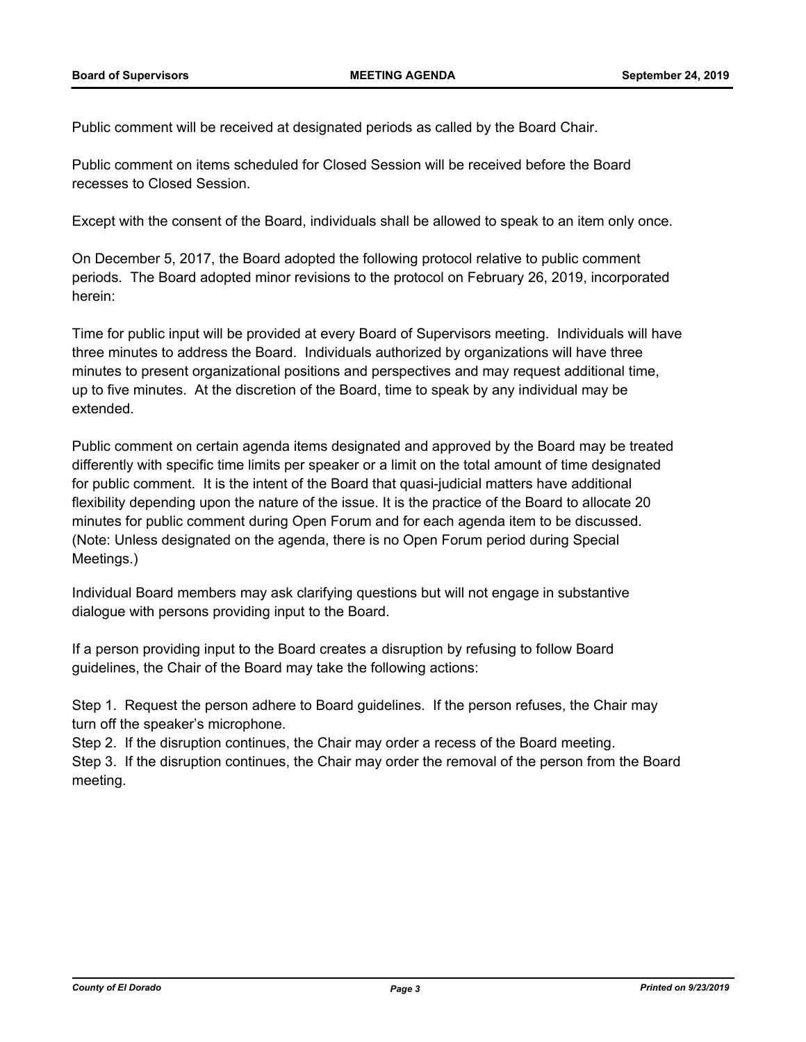Public comment will be received at designated periods as called by the Board Chair.

Public comment on items scheduled for Closed Session will be received before the Board recesses to Closed Session.

Except with the consent of the Board, individuals shall be allowed to speak to an item only once.

On December 5, 2017, the Board adopted the following protocol relative to public comment periods. The Board adopted minor revisions to the protocol on February 26, 2019, incorporated herein:

Time for public input will be provided at every Board of Supervisors meeting. Individuals will have three minutes to address the Board. Individuals authorized by organizations will have three minutes to present organizational positions and perspectives and may request additional time, up to five minutes. At the discretion of the Board, time to speak by any individual may be extended.

Public comment on certain agenda items designated and approved by the Board may be treated differently with specific time limits per speaker or a limit on the total amount of time designated for public comment. It is the intent of the Board that quasi-judicial matters have additional flexibility depending upon the nature of the issue. It is the practice of the Board to allocate 20 minutes for public comment during Open Forum and for each agenda item to be discussed. (Note: Unless designated on the agenda, there is no Open Forum period during Special Meetings.)

Individual Board members may ask clarifying questions but will not engage in substantive dialogue with persons providing input to the Board.

If a person providing input to the Board creates a disruption by refusing to follow Board guidelines, the Chair of the Board may take the following actions:

Step 1. Request the person adhere to Board guidelines. If the person refuses, the Chair may turn off the speaker's microphone.

Step 2. If the disruption continues, the Chair may order a recess of the Board meeting. Step 3. If the disruption continues, the Chair may order the removal of the person from the Board meeting.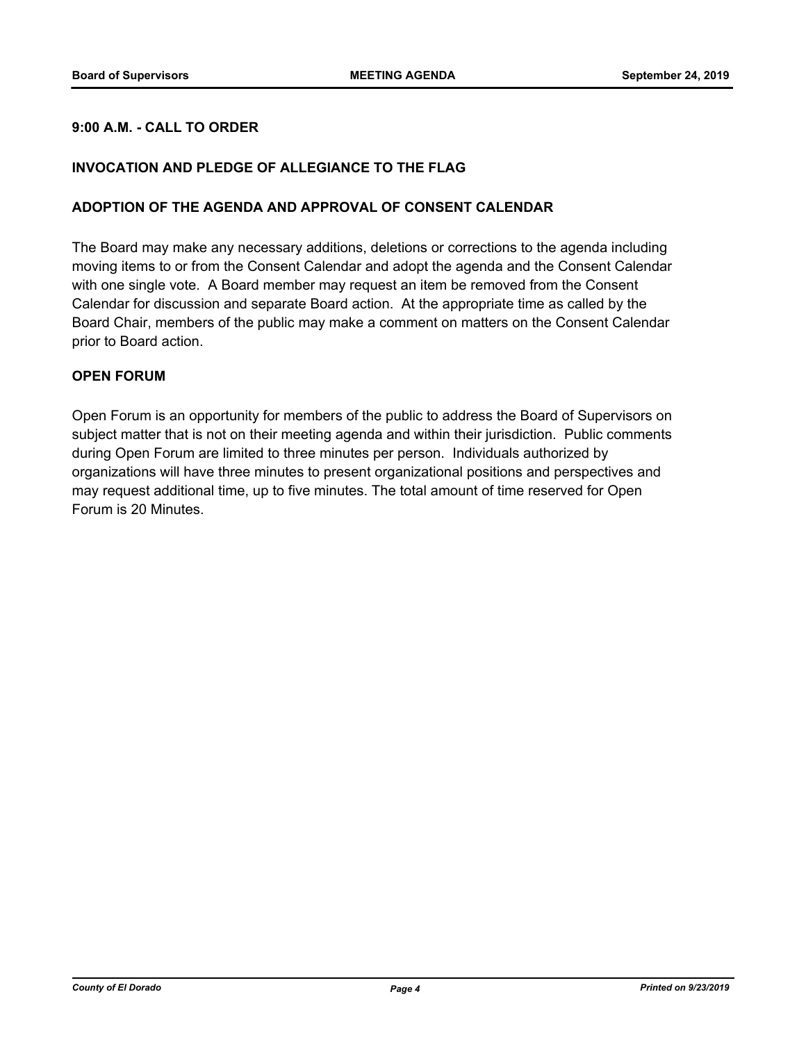### **9:00 A.M. - CALL TO ORDER**

#### **INVOCATION AND PLEDGE OF ALLEGIANCE TO THE FLAG**

#### **ADOPTION OF THE AGENDA AND APPROVAL OF CONSENT CALENDAR**

The Board may make any necessary additions, deletions or corrections to the agenda including moving items to or from the Consent Calendar and adopt the agenda and the Consent Calendar with one single vote. A Board member may request an item be removed from the Consent Calendar for discussion and separate Board action. At the appropriate time as called by the Board Chair, members of the public may make a comment on matters on the Consent Calendar prior to Board action.

#### **OPEN FORUM**

Open Forum is an opportunity for members of the public to address the Board of Supervisors on subject matter that is not on their meeting agenda and within their jurisdiction. Public comments during Open Forum are limited to three minutes per person. Individuals authorized by organizations will have three minutes to present organizational positions and perspectives and may request additional time, up to five minutes. The total amount of time reserved for Open Forum is 20 Minutes.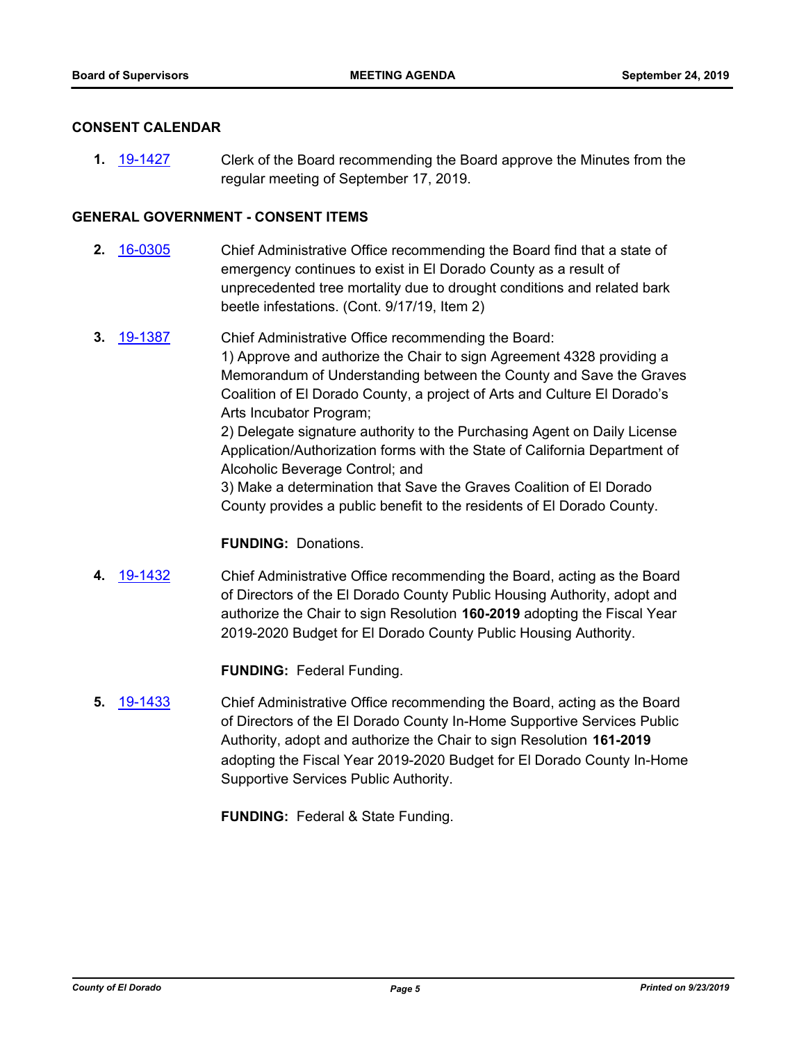#### **CONSENT CALENDAR**

**1.** [19-1427](http://eldorado.legistar.com/gateway.aspx?m=l&id=/matter.aspx?key=26748) Clerk of the Board recommending the Board approve the Minutes from the regular meeting of September 17, 2019.

#### **GENERAL GOVERNMENT - CONSENT ITEMS**

- **2.** [16-0305](http://eldorado.legistar.com/gateway.aspx?m=l&id=/matter.aspx?key=20961) Chief Administrative Office recommending the Board find that a state of emergency continues to exist in El Dorado County as a result of unprecedented tree mortality due to drought conditions and related bark beetle infestations. (Cont. 9/17/19, Item 2)
- **3.** [19-1387](http://eldorado.legistar.com/gateway.aspx?m=l&id=/matter.aspx?key=26708) Chief Administrative Office recommending the Board: 1) Approve and authorize the Chair to sign Agreement 4328 providing a Memorandum of Understanding between the County and Save the Graves Coalition of El Dorado County, a project of Arts and Culture El Dorado's Arts Incubator Program; 2) Delegate signature authority to the Purchasing Agent on Daily License Application/Authorization forms with the State of California Department of Alcoholic Beverage Control; and 3) Make a determination that Save the Graves Coalition of El Dorado County provides a public benefit to the residents of El Dorado County.

#### **FUNDING:** Donations.

**4.** [19-1432](http://eldorado.legistar.com/gateway.aspx?m=l&id=/matter.aspx?key=26753) Chief Administrative Office recommending the Board, acting as the Board of Directors of the El Dorado County Public Housing Authority, adopt and authorize the Chair to sign Resolution **160-2019** adopting the Fiscal Year 2019-2020 Budget for El Dorado County Public Housing Authority.

**FUNDING:** Federal Funding.

**5.** [19-1433](http://eldorado.legistar.com/gateway.aspx?m=l&id=/matter.aspx?key=26754) Chief Administrative Office recommending the Board, acting as the Board of Directors of the El Dorado County In-Home Supportive Services Public Authority, adopt and authorize the Chair to sign Resolution **161-2019**  adopting the Fiscal Year 2019-2020 Budget for El Dorado County In-Home Supportive Services Public Authority.

**FUNDING:** Federal & State Funding.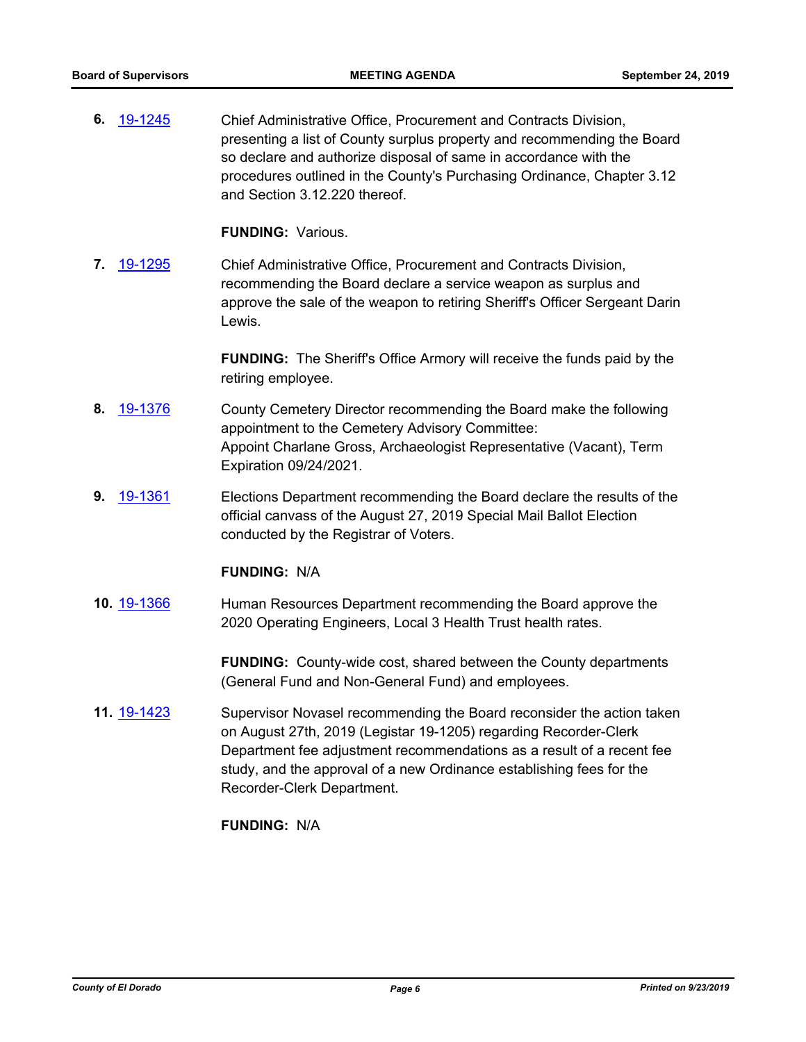**6.** [19-1245](http://eldorado.legistar.com/gateway.aspx?m=l&id=/matter.aspx?key=26567) Chief Administrative Office, Procurement and Contracts Division, presenting a list of County surplus property and recommending the Board so declare and authorize disposal of same in accordance with the procedures outlined in the County's Purchasing Ordinance, Chapter 3.12 and Section 3.12.220 thereof.

**FUNDING:** Various.

**7.** [19-1295](http://eldorado.legistar.com/gateway.aspx?m=l&id=/matter.aspx?key=26617) Chief Administrative Office, Procurement and Contracts Division, recommending the Board declare a service weapon as surplus and approve the sale of the weapon to retiring Sheriff's Officer Sergeant Darin Lewis.

> **FUNDING:** The Sheriff's Office Armory will receive the funds paid by the retiring employee.

- **8.** [19-1376](http://eldorado.legistar.com/gateway.aspx?m=l&id=/matter.aspx?key=26697) County Cemetery Director recommending the Board make the following appointment to the Cemetery Advisory Committee: Appoint Charlane Gross, Archaeologist Representative (Vacant), Term Expiration 09/24/2021.
- **9.** [19-1361](http://eldorado.legistar.com/gateway.aspx?m=l&id=/matter.aspx?key=26682) **Elections Department recommending the Board declare the results of the** official canvass of the August 27, 2019 Special Mail Ballot Election conducted by the Registrar of Voters.

#### **FUNDING:** N/A

**10.** [19-1366](http://eldorado.legistar.com/gateway.aspx?m=l&id=/matter.aspx?key=26687) Human Resources Department recommending the Board approve the 2020 Operating Engineers, Local 3 Health Trust health rates.

> **FUNDING:** County-wide cost, shared between the County departments (General Fund and Non-General Fund) and employees.

**11.** [19-1423](http://eldorado.legistar.com/gateway.aspx?m=l&id=/matter.aspx?key=26744) Supervisor Novasel recommending the Board reconsider the action taken on August 27th, 2019 (Legistar 19-1205) regarding Recorder-Clerk Department fee adjustment recommendations as a result of a recent fee study, and the approval of a new Ordinance establishing fees for the Recorder-Clerk Department.

### **FUNDING:** N/A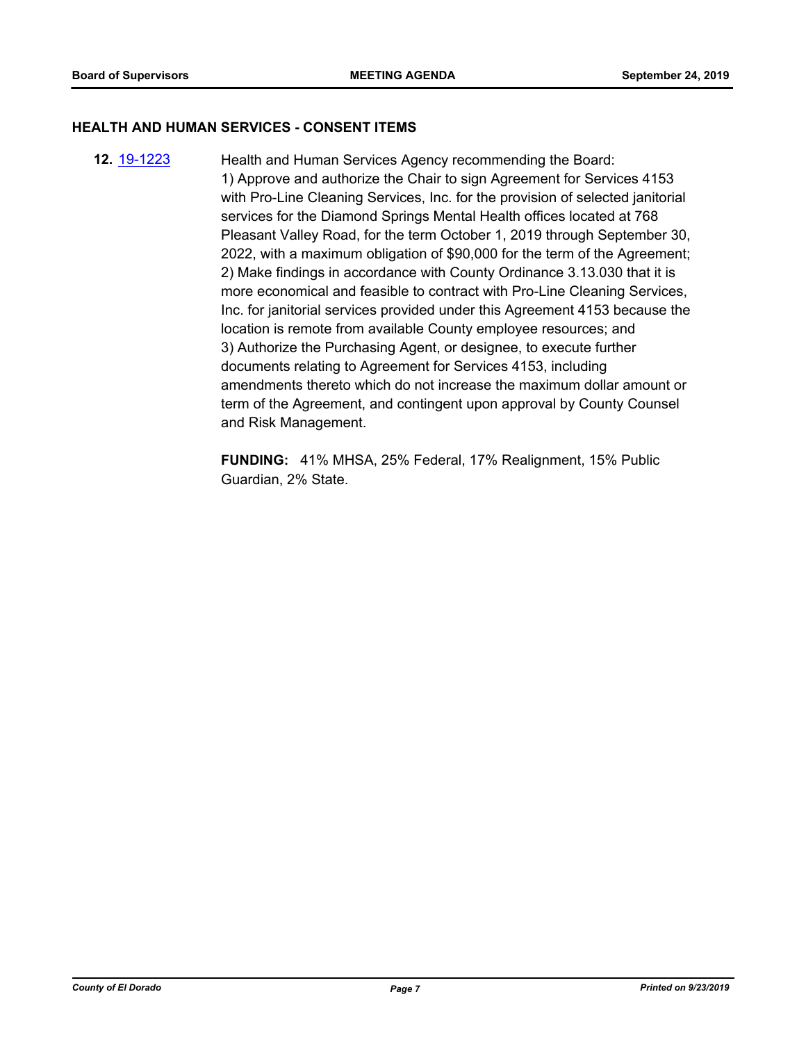#### **HEALTH AND HUMAN SERVICES - CONSENT ITEMS**

**12.** [19-1223](http://eldorado.legistar.com/gateway.aspx?m=l&id=/matter.aspx?key=26545) Health and Human Services Agency recommending the Board: 1) Approve and authorize the Chair to sign Agreement for Services 4153 with Pro-Line Cleaning Services, Inc. for the provision of selected janitorial services for the Diamond Springs Mental Health offices located at 768 Pleasant Valley Road, for the term October 1, 2019 through September 30, 2022, with a maximum obligation of \$90,000 for the term of the Agreement; 2) Make findings in accordance with County Ordinance 3.13.030 that it is more economical and feasible to contract with Pro-Line Cleaning Services, Inc. for janitorial services provided under this Agreement 4153 because the location is remote from available County employee resources; and 3) Authorize the Purchasing Agent, or designee, to execute further documents relating to Agreement for Services 4153, including amendments thereto which do not increase the maximum dollar amount or term of the Agreement, and contingent upon approval by County Counsel and Risk Management.

> **FUNDING:** 41% MHSA, 25% Federal, 17% Realignment, 15% Public Guardian, 2% State.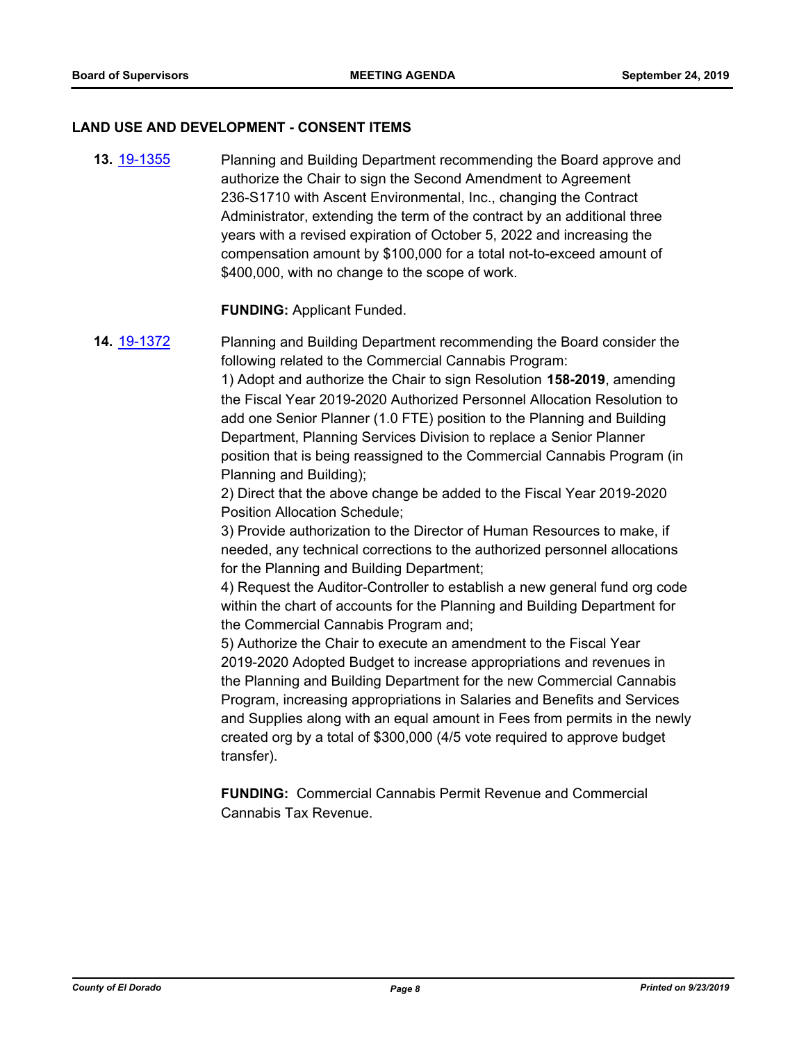#### **LAND USE AND DEVELOPMENT - CONSENT ITEMS**

**13.** [19-1355](http://eldorado.legistar.com/gateway.aspx?m=l&id=/matter.aspx?key=26676) Planning and Building Department recommending the Board approve and authorize the Chair to sign the Second Amendment to Agreement 236-S1710 with Ascent Environmental, Inc., changing the Contract Administrator, extending the term of the contract by an additional three years with a revised expiration of October 5, 2022 and increasing the compensation amount by \$100,000 for a total not-to-exceed amount of \$400,000, with no change to the scope of work.

#### **FUNDING:** Applicant Funded.

**14.** [19-1372](http://eldorado.legistar.com/gateway.aspx?m=l&id=/matter.aspx?key=26693) Planning and Building Department recommending the Board consider the following related to the Commercial Cannabis Program:

> 1) Adopt and authorize the Chair to sign Resolution **158-2019**, amending the Fiscal Year 2019-2020 Authorized Personnel Allocation Resolution to add one Senior Planner (1.0 FTE) position to the Planning and Building Department, Planning Services Division to replace a Senior Planner position that is being reassigned to the Commercial Cannabis Program (in Planning and Building);

2) Direct that the above change be added to the Fiscal Year 2019-2020 Position Allocation Schedule;

3) Provide authorization to the Director of Human Resources to make, if needed, any technical corrections to the authorized personnel allocations for the Planning and Building Department;

4) Request the Auditor-Controller to establish a new general fund org code within the chart of accounts for the Planning and Building Department for the Commercial Cannabis Program and;

5) Authorize the Chair to execute an amendment to the Fiscal Year 2019-2020 Adopted Budget to increase appropriations and revenues in the Planning and Building Department for the new Commercial Cannabis Program, increasing appropriations in Salaries and Benefits and Services and Supplies along with an equal amount in Fees from permits in the newly created org by a total of \$300,000 (4/5 vote required to approve budget transfer).

**FUNDING:** Commercial Cannabis Permit Revenue and Commercial Cannabis Tax Revenue.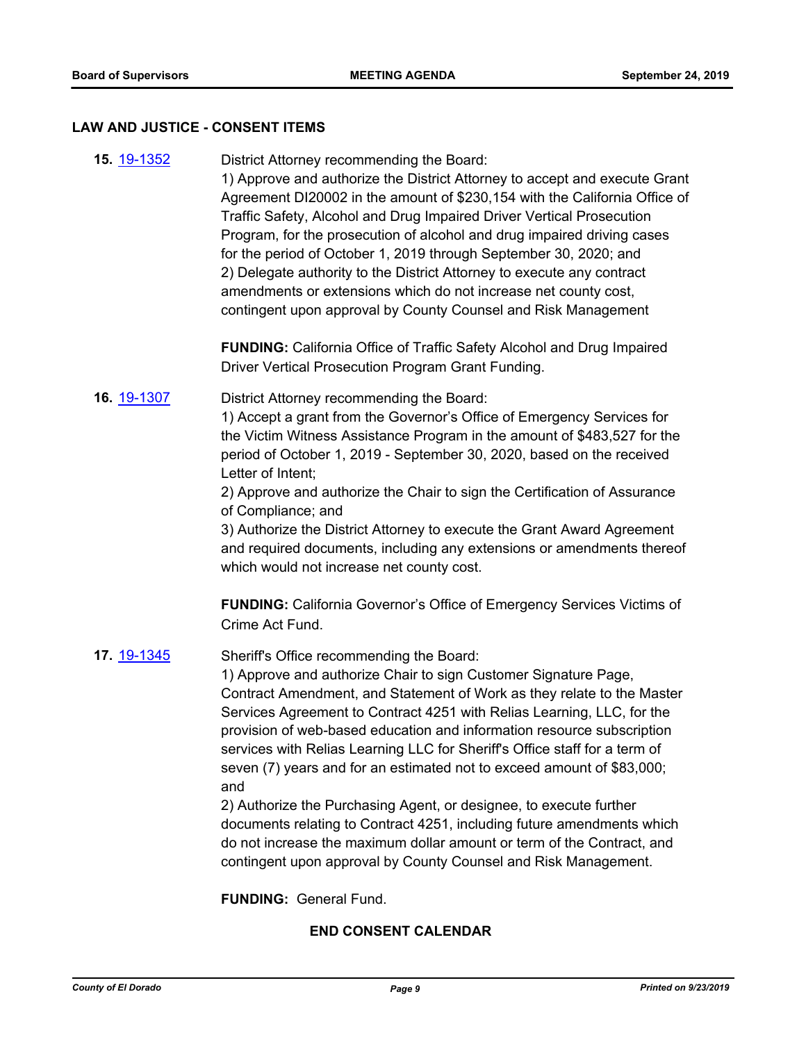#### **LAW AND JUSTICE - CONSENT ITEMS**

| <b>15. 19-1352</b> | District Attorney recommending the Board:<br>1) Approve and authorize the District Attorney to accept and execute Grant<br>Agreement DI20002 in the amount of \$230,154 with the California Office of<br>Traffic Safety, Alcohol and Drug Impaired Driver Vertical Prosecution<br>Program, for the prosecution of alcohol and drug impaired driving cases<br>for the period of October 1, 2019 through September 30, 2020; and<br>2) Delegate authority to the District Attorney to execute any contract<br>amendments or extensions which do not increase net county cost,<br>contingent upon approval by County Counsel and Risk Management                                                                                                                                                         |
|--------------------|-------------------------------------------------------------------------------------------------------------------------------------------------------------------------------------------------------------------------------------------------------------------------------------------------------------------------------------------------------------------------------------------------------------------------------------------------------------------------------------------------------------------------------------------------------------------------------------------------------------------------------------------------------------------------------------------------------------------------------------------------------------------------------------------------------|
|                    | <b>FUNDING:</b> California Office of Traffic Safety Alcohol and Drug Impaired<br>Driver Vertical Prosecution Program Grant Funding.                                                                                                                                                                                                                                                                                                                                                                                                                                                                                                                                                                                                                                                                   |
| 16. 19-1307        | District Attorney recommending the Board:<br>1) Accept a grant from the Governor's Office of Emergency Services for<br>the Victim Witness Assistance Program in the amount of \$483,527 for the<br>period of October 1, 2019 - September 30, 2020, based on the received<br>Letter of Intent;<br>2) Approve and authorize the Chair to sign the Certification of Assurance<br>of Compliance; and<br>3) Authorize the District Attorney to execute the Grant Award Agreement<br>and required documents, including any extensions or amendments thereof<br>which would not increase net county cost.                                                                                                                                                                                                    |
|                    | <b>FUNDING:</b> California Governor's Office of Emergency Services Victims of<br>Crime Act Fund.                                                                                                                                                                                                                                                                                                                                                                                                                                                                                                                                                                                                                                                                                                      |
| 17. 19-1345        | Sheriff's Office recommending the Board:<br>1) Approve and authorize Chair to sign Customer Signature Page,<br>Contract Amendment, and Statement of Work as they relate to the Master<br>Services Agreement to Contract 4251 with Relias Learning, LLC, for the<br>provision of web-based education and information resource subscription<br>services with Relias Learning LLC for Sheriff's Office staff for a term of<br>seven (7) years and for an estimated not to exceed amount of \$83,000;<br>and<br>2) Authorize the Purchasing Agent, or designee, to execute further<br>documents relating to Contract 4251, including future amendments which<br>do not increase the maximum dollar amount or term of the Contract, and<br>contingent upon approval by County Counsel and Risk Management. |
|                    | <b>FUNDING: General Fund.</b>                                                                                                                                                                                                                                                                                                                                                                                                                                                                                                                                                                                                                                                                                                                                                                         |

## **END CONSENT CALENDAR**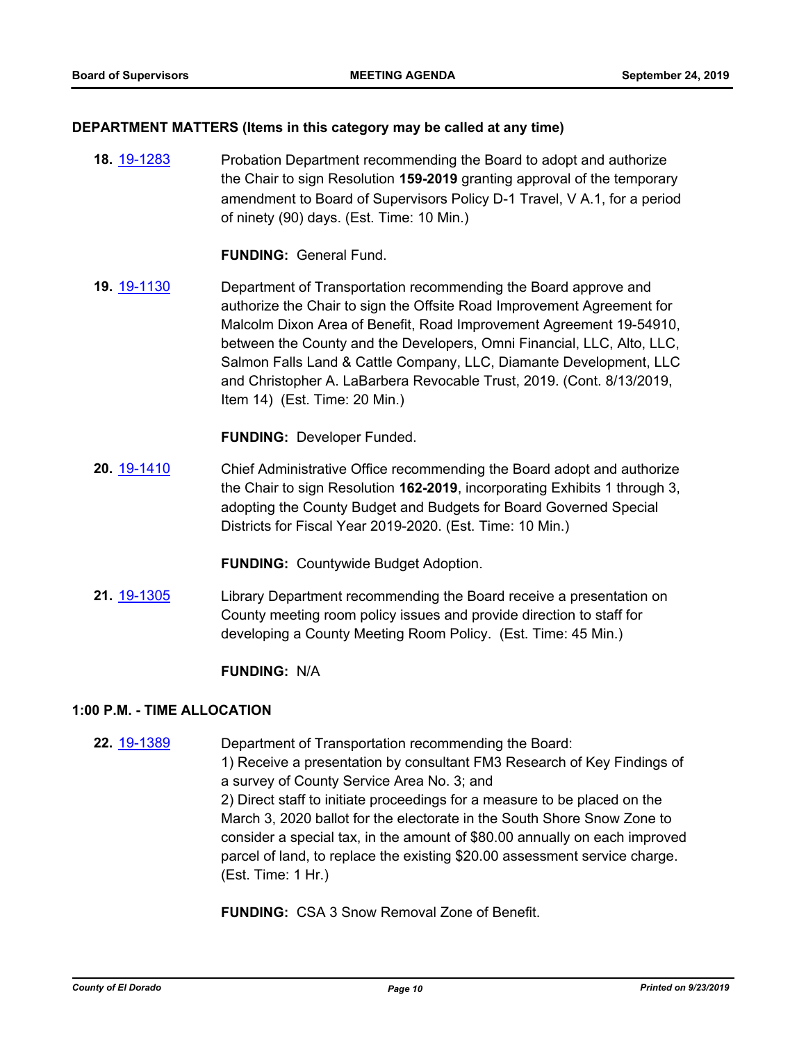#### **DEPARTMENT MATTERS (Items in this category may be called at any time)**

**18.** [19-1283](http://eldorado.legistar.com/gateway.aspx?m=l&id=/matter.aspx?key=26605) Probation Department recommending the Board to adopt and authorize the Chair to sign Resolution **159-2019** granting approval of the temporary amendment to Board of Supervisors Policy D-1 Travel, V A.1, for a period of ninety (90) days. (Est. Time: 10 Min.)

**FUNDING:** General Fund.

**19.** [19-1130](http://eldorado.legistar.com/gateway.aspx?m=l&id=/matter.aspx?key=26452) Department of Transportation recommending the Board approve and authorize the Chair to sign the Offsite Road Improvement Agreement for Malcolm Dixon Area of Benefit, Road Improvement Agreement 19-54910, between the County and the Developers, Omni Financial, LLC, Alto, LLC, Salmon Falls Land & Cattle Company, LLC, Diamante Development, LLC and Christopher A. LaBarbera Revocable Trust, 2019. (Cont. 8/13/2019, Item 14) (Est. Time: 20 Min.)

**FUNDING:** Developer Funded.

**20.** [19-1410](http://eldorado.legistar.com/gateway.aspx?m=l&id=/matter.aspx?key=26731) Chief Administrative Office recommending the Board adopt and authorize the Chair to sign Resolution **162-2019**, incorporating Exhibits 1 through 3, adopting the County Budget and Budgets for Board Governed Special Districts for Fiscal Year 2019-2020. (Est. Time: 10 Min.)

**FUNDING:** Countywide Budget Adoption.

**21.** [19-1305](http://eldorado.legistar.com/gateway.aspx?m=l&id=/matter.aspx?key=26627) Library Department recommending the Board receive a presentation on County meeting room policy issues and provide direction to staff for developing a County Meeting Room Policy. (Est. Time: 45 Min.)

**FUNDING:** N/A

#### **1:00 P.M. - TIME ALLOCATION**

**22.** [19-1389](http://eldorado.legistar.com/gateway.aspx?m=l&id=/matter.aspx?key=26710) Department of Transportation recommending the Board: 1) Receive a presentation by consultant FM3 Research of Key Findings of a survey of County Service Area No. 3; and 2) Direct staff to initiate proceedings for a measure to be placed on the March 3, 2020 ballot for the electorate in the South Shore Snow Zone to consider a special tax, in the amount of \$80.00 annually on each improved parcel of land, to replace the existing \$20.00 assessment service charge. (Est. Time: 1 Hr.)

**FUNDING:** CSA 3 Snow Removal Zone of Benefit.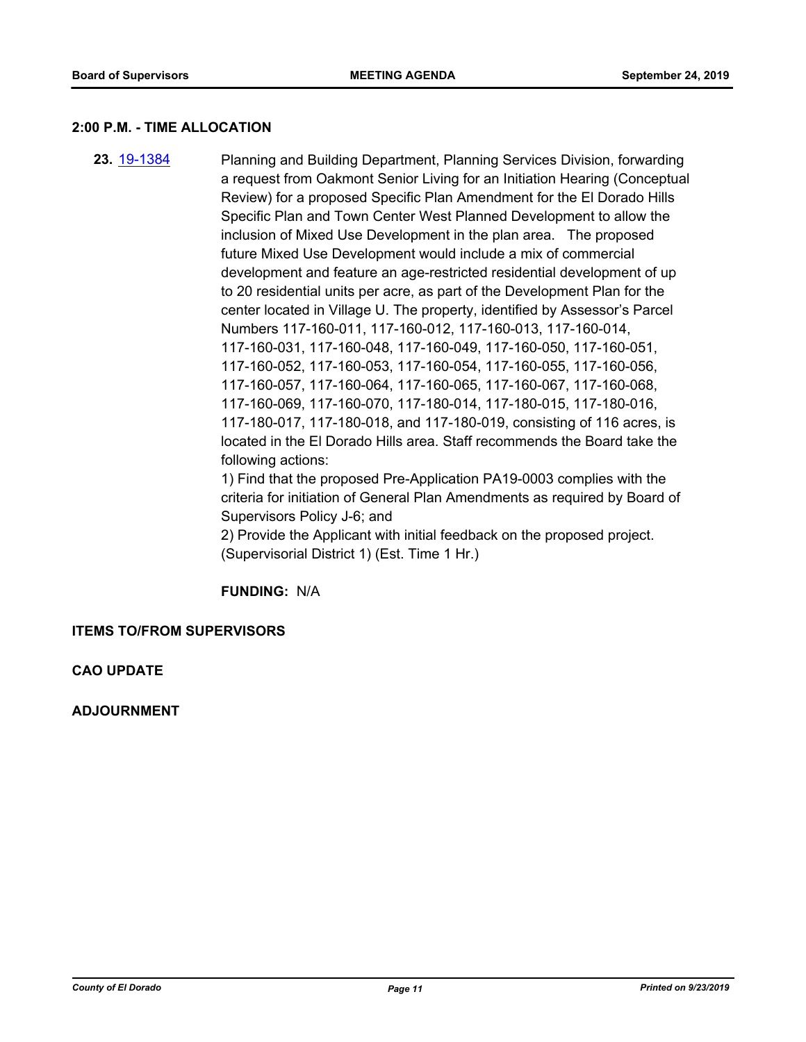#### **2:00 P.M. - TIME ALLOCATION**

**23.** [19-1384](http://eldorado.legistar.com/gateway.aspx?m=l&id=/matter.aspx?key=26705) Planning and Building Department, Planning Services Division, forwarding a request from Oakmont Senior Living for an Initiation Hearing (Conceptual Review) for a proposed Specific Plan Amendment for the El Dorado Hills Specific Plan and Town Center West Planned Development to allow the inclusion of Mixed Use Development in the plan area. The proposed future Mixed Use Development would include a mix of commercial development and feature an age-restricted residential development of up to 20 residential units per acre, as part of the Development Plan for the center located in Village U. The property, identified by Assessor's Parcel Numbers 117-160-011, 117-160-012, 117-160-013, 117-160-014, 117-160-031, 117-160-048, 117-160-049, 117-160-050, 117-160-051, 117-160-052, 117-160-053, 117-160-054, 117-160-055, 117-160-056, 117-160-057, 117-160-064, 117-160-065, 117-160-067, 117-160-068, 117-160-069, 117-160-070, 117-180-014, 117-180-015, 117-180-016, 117-180-017, 117-180-018, and 117-180-019, consisting of 116 acres, is located in the El Dorado Hills area. Staff recommends the Board take the following actions:

1) Find that the proposed Pre-Application PA19-0003 complies with the criteria for initiation of General Plan Amendments as required by Board of Supervisors Policy J-6; and

2) Provide the Applicant with initial feedback on the proposed project. (Supervisorial District 1) (Est. Time 1 Hr.)

**FUNDING:** N/A

**ITEMS TO/FROM SUPERVISORS**

**CAO UPDATE**

**ADJOURNMENT**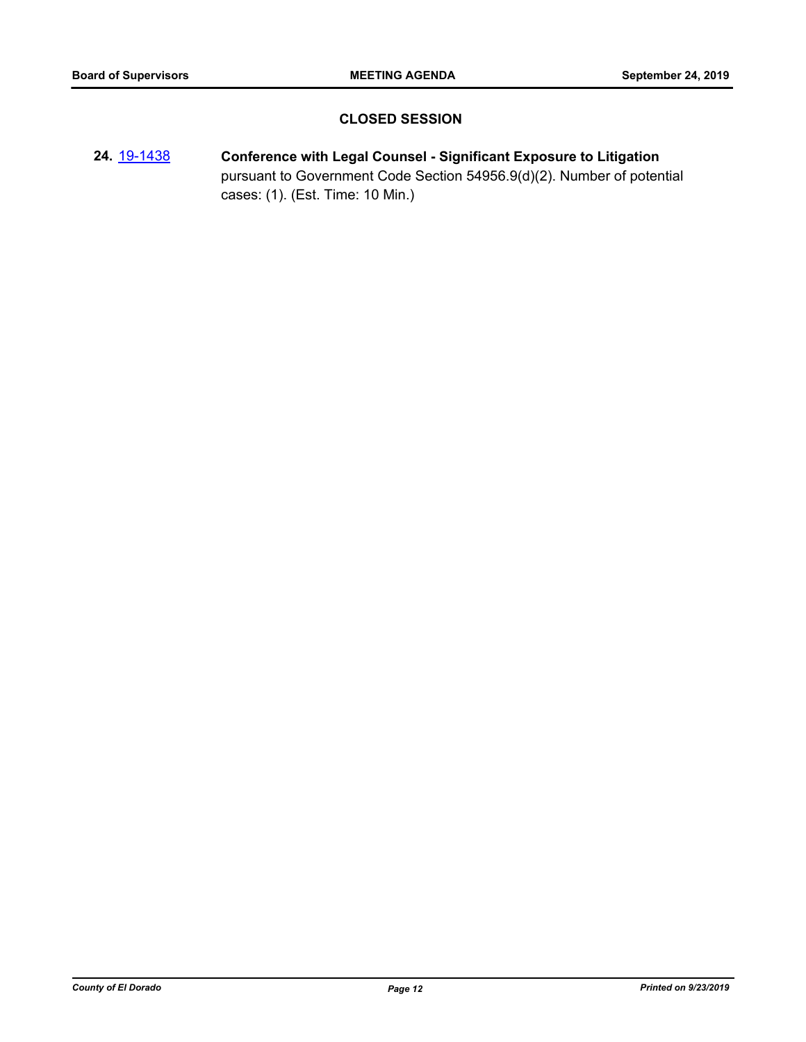## **CLOSED SESSION**

**24.** [19-1438](http://eldorado.legistar.com/gateway.aspx?m=l&id=/matter.aspx?key=26759) **Conference with Legal Counsel - Significant Exposure to Litigation** pursuant to Government Code Section 54956.9(d)(2). Number of potential cases: (1). (Est. Time: 10 Min.)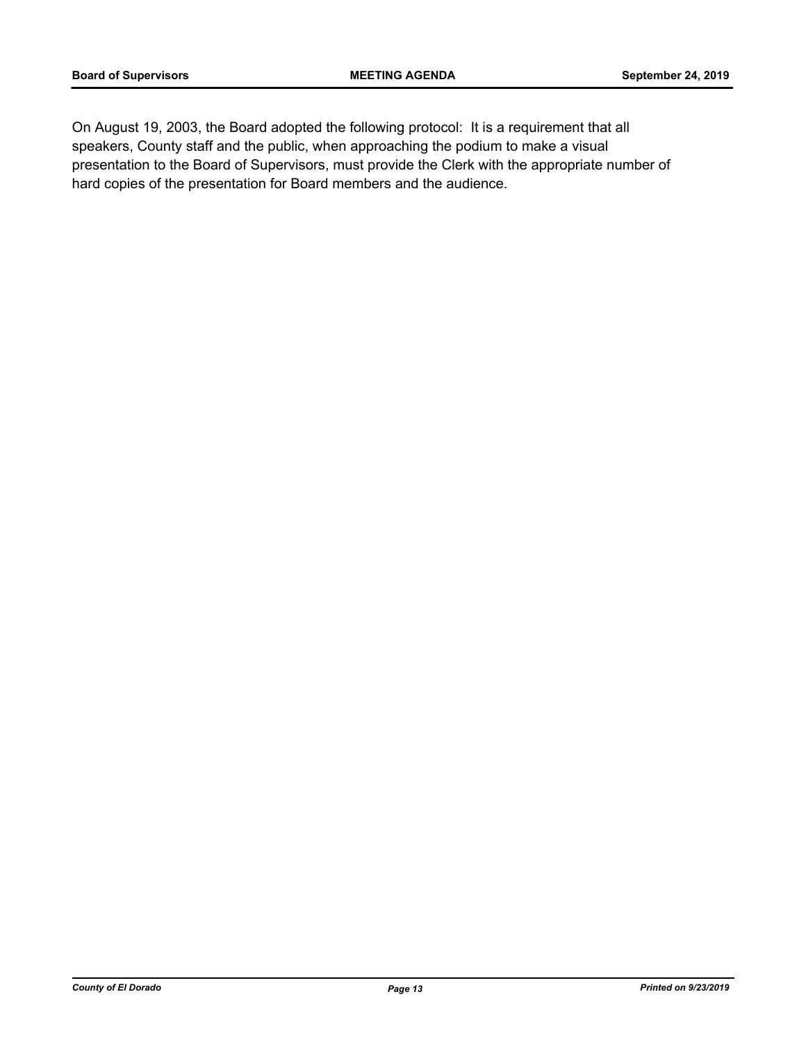On August 19, 2003, the Board adopted the following protocol: It is a requirement that all speakers, County staff and the public, when approaching the podium to make a visual presentation to the Board of Supervisors, must provide the Clerk with the appropriate number of hard copies of the presentation for Board members and the audience.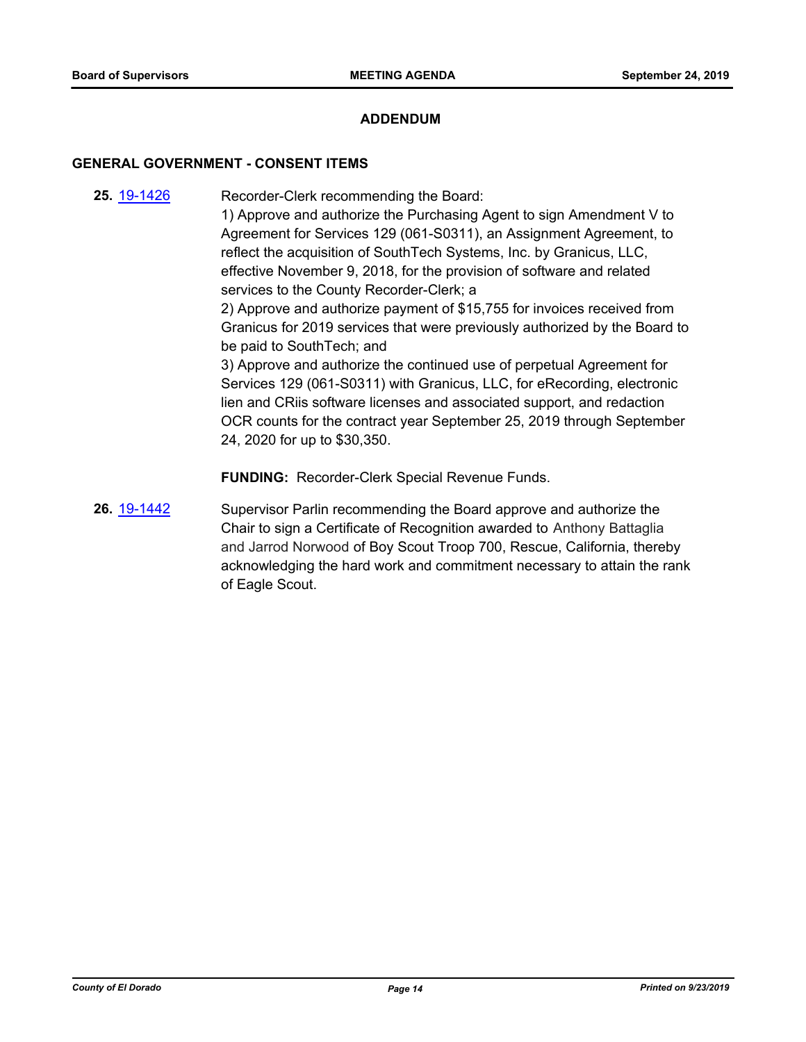#### **ADDENDUM**

#### **GENERAL GOVERNMENT - CONSENT ITEMS**

- **25.** [19-1426](http://eldorado.legistar.com/gateway.aspx?m=l&id=/matter.aspx?key=26747) Recorder-Clerk recommending the Board: 1) Approve and authorize the Purchasing Agent to sign Amendment V to Agreement for Services 129 (061-S0311), an Assignment Agreement, to reflect the acquisition of SouthTech Systems, Inc. by Granicus, LLC, effective November 9, 2018, for the provision of software and related services to the County Recorder-Clerk; a 2) Approve and authorize payment of \$15,755 for invoices received from Granicus for 2019 services that were previously authorized by the Board to be paid to SouthTech; and 3) Approve and authorize the continued use of perpetual Agreement for Services 129 (061-S0311) with Granicus, LLC, for eRecording, electronic lien and CRiis software licenses and associated support, and redaction OCR counts for the contract year September 25, 2019 through September 24, 2020 for up to \$30,350. **FUNDING:** Recorder-Clerk Special Revenue Funds.
- **26.** [19-1442](http://eldorado.legistar.com/gateway.aspx?m=l&id=/matter.aspx?key=26763) Supervisor Parlin recommending the Board approve and authorize the Chair to sign a Certificate of Recognition awarded to Anthony Battaglia and Jarrod Norwood of Boy Scout Troop 700, Rescue, California, thereby acknowledging the hard work and commitment necessary to attain the rank of Eagle Scout.